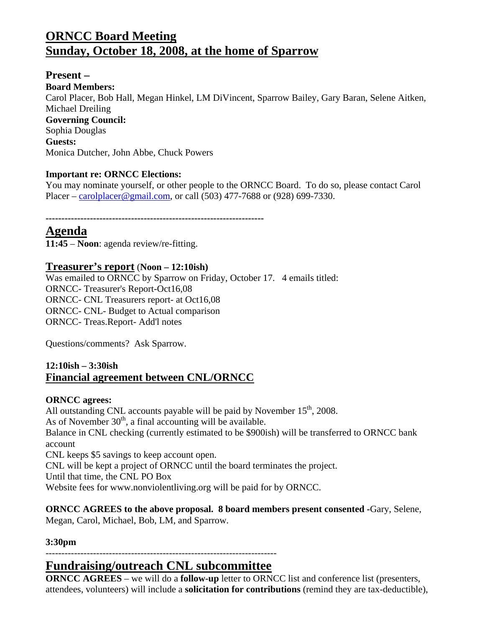# **ORNCC Board Meeting Sunday, October 18, 2008, at the home of Sparrow**

**Present – Board Members:**  Carol Placer, Bob Hall, Megan Hinkel, LM DiVincent, Sparrow Bailey, Gary Baran, Selene Aitken, Michael Dreiling **Governing Council:**  Sophia Douglas **Guests:**  Monica Dutcher, John Abbe, Chuck Powers

#### **Important re: ORNCC Elections:**

You may nominate yourself, or other people to the ORNCC Board. To do so, please contact Carol Placer – carolplacer@gmail.com, or call (503) 477-7688 or (928) 699-7330.

**---------------------------------------------------------------------** 

### **Agenda**

**11:45** – **Noon**: agenda review/re-fitting.

#### **Treasurer's report** (**Noon – 12:10ish)**

Was emailed to ORNCC by Sparrow on Friday, October 17. 4 emails titled: ORNCC- Treasurer's Report-Oct16,08 ORNCC- CNL Treasurers report- at Oct16,08 ORNCC- CNL- Budget to Actual comparison ORNCC- Treas.Report- Add'l notes

Questions/comments? Ask Sparrow.

#### **12:10ish – 3:30ish Financial agreement between CNL/ORNCC**

#### **ORNCC agrees:**

All outstanding CNL accounts payable will be paid by November  $15<sup>th</sup>$ , 2008. As of November  $30<sup>th</sup>$ , a final accounting will be available. Balance in CNL checking (currently estimated to be \$900ish) will be transferred to ORNCC bank account CNL keeps \$5 savings to keep account open. CNL will be kept a project of ORNCC until the board terminates the project. Until that time, the CNL PO Box Website fees for www.nonviolentliving.org will be paid for by ORNCC.

**ORNCC AGREES to the above proposal. 8 board members present consented -**Gary, Selene, Megan, Carol, Michael, Bob, LM, and Sparrow.

#### **3:30pm**

#### ------------------------------------------------------------------------- **Fundraising/outreach CNL subcommittee**

**ORNCC AGREES** – we will do a **follow-up** letter to ORNCC list and conference list (presenters, attendees, volunteers) will include a **solicitation for contributions** (remind they are tax-deductible),